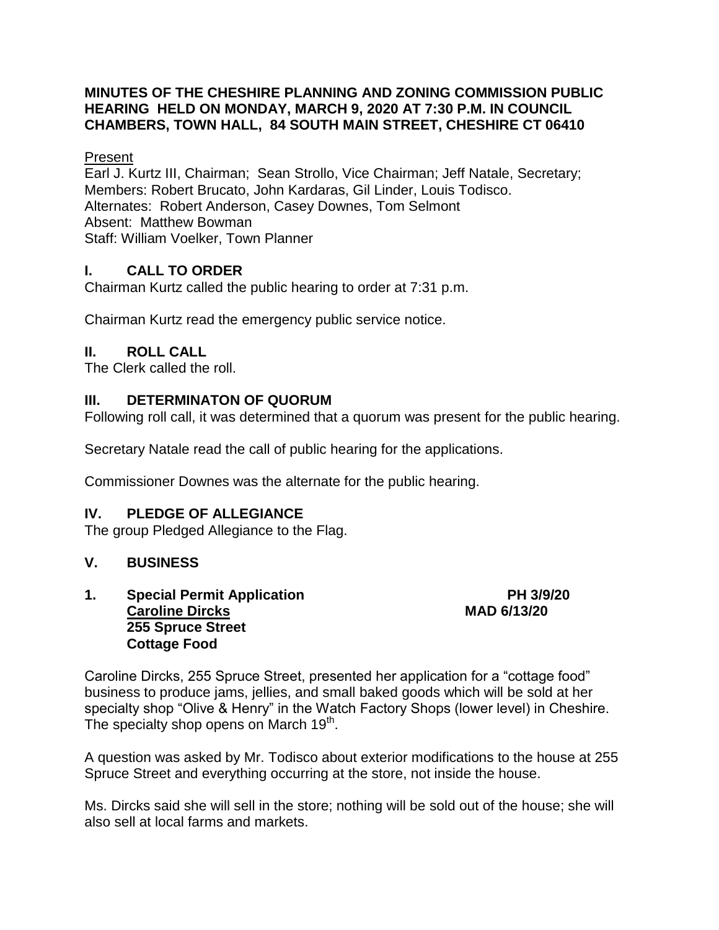#### **MINUTES OF THE CHESHIRE PLANNING AND ZONING COMMISSION PUBLIC HEARING HELD ON MONDAY, MARCH 9, 2020 AT 7:30 P.M. IN COUNCIL CHAMBERS, TOWN HALL, 84 SOUTH MAIN STREET, CHESHIRE CT 06410**

#### Present

Earl J. Kurtz III, Chairman; Sean Strollo, Vice Chairman; Jeff Natale, Secretary; Members: Robert Brucato, John Kardaras, Gil Linder, Louis Todisco. Alternates: Robert Anderson, Casey Downes, Tom Selmont Absent: Matthew Bowman Staff: William Voelker, Town Planner

# **I. CALL TO ORDER**

Chairman Kurtz called the public hearing to order at 7:31 p.m.

Chairman Kurtz read the emergency public service notice.

# **II. ROLL CALL**

The Clerk called the roll.

## **III. DETERMINATON OF QUORUM**

Following roll call, it was determined that a quorum was present for the public hearing.

Secretary Natale read the call of public hearing for the applications.

Commissioner Downes was the alternate for the public hearing.

## **IV. PLEDGE OF ALLEGIANCE**

The group Pledged Allegiance to the Flag.

## **V. BUSINESS**

**1. Special Permit Application PH 3/9/20 Caroline Dircks MAD 6/13/20 255 Spruce Street Cottage Food**

Caroline Dircks, 255 Spruce Street, presented her application for a "cottage food" business to produce jams, jellies, and small baked goods which will be sold at her specialty shop "Olive & Henry" in the Watch Factory Shops (lower level) in Cheshire. The specialty shop opens on March 19<sup>th</sup>.

A question was asked by Mr. Todisco about exterior modifications to the house at 255 Spruce Street and everything occurring at the store, not inside the house.

Ms. Dircks said she will sell in the store; nothing will be sold out of the house; she will also sell at local farms and markets.